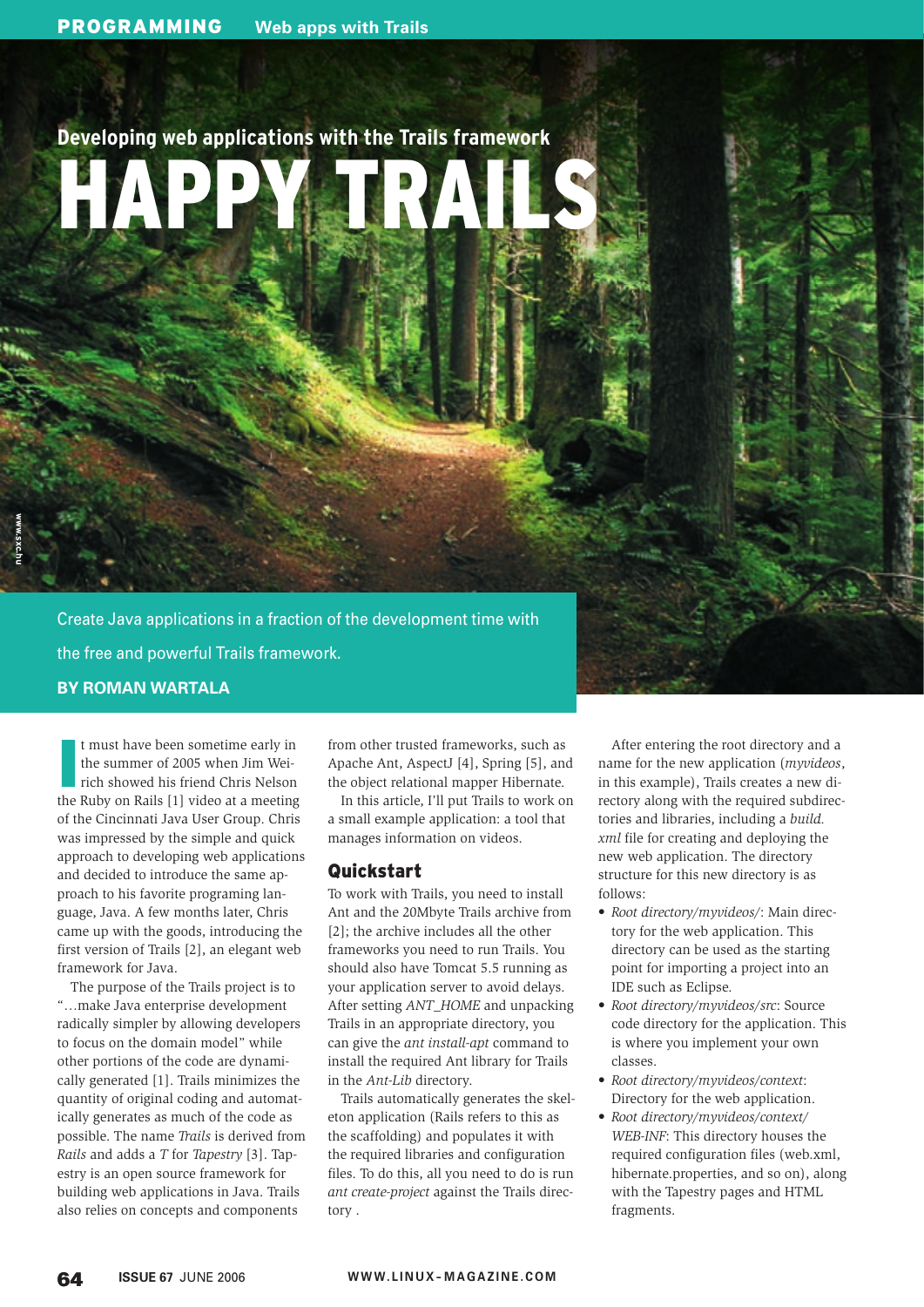# **Developing web applications with the Trails framework** HAPPY TRAILS

Create Java applications in a fraction of the development time with the free and powerful Trails framework. **BY ROMAN WARTALA**

I t must have been sometime early in the summer of 2005 when Jim Weirich showed his friend Chris Nelson the Ruby on Rails [1] video at a meeting of the Cincinnati Java User Group. Chris was impressed by the simple and quick approach to developing web applications and decided to introduce the same approach to his favorite programing language, Java. A few months later, Chris came up with the goods, introducing the first version of Trails [2], an elegant web

framework for Java.

The purpose of the Trails project is to "…make Java enterprise development radically simpler by allowing developers to focus on the domain model" while other portions of the code are dynamically generated [1]. Trails minimizes the quantity of original coding and automatically generates as much of the code as possible. The name *Trails* is derived from *Rails* and adds a *T* for *Tapestry* [3]. Tapestry is an open source framework for building web applications in Java. Trails also relies on concepts and components

from other trusted frameworks, such as Apache Ant, AspectJ [4], Spring [5], and the object relational mapper Hibernate.

In this article, I'll put Trails to work on a small example application: a tool that manages information on videos.

# Quickstart

To work with Trails, you need to install Ant and the 20Mbyte Trails archive from [2]; the archive includes all the other frameworks you need to run Trails. You should also have Tomcat 5.5 running as your application server to avoid delays. After setting *ANT\_HOME* and unpacking Trails in an appropriate directory, you can give the *ant install-apt* command to install the required Ant library for Trails in the *Ant-Lib* directory.

Trails automatically generates the skeleton application (Rails refers to this as the scaffolding) and populates it with the required libraries and configuration files. To do this, all you need to do is run *ant create-project* against the Trails directory .

After entering the root directory and a name for the new application (*myvideos*, in this example), Trails creates a new directory along with the required subdirectories and libraries, including a *build. xml* file for creating and deploying the new web application. The directory structure for this new directory is as follows:

- *Root directory/myvideos/*: Main directory for the web application. This directory can be used as the starting point for importing a project into an IDE such as Eclipse.
- *Root directory/myvideos/src*: Source code directory for the application. This is where you implement your own classes.
- *Root directory/myvideos/context*: Directory for the web application.
- *Root directory/myvideos/context/ WEB-INF*: This directory houses the required configuration files (web.xml, hibernate.properties, and so on), along with the Tapestry pages and HTML fragments.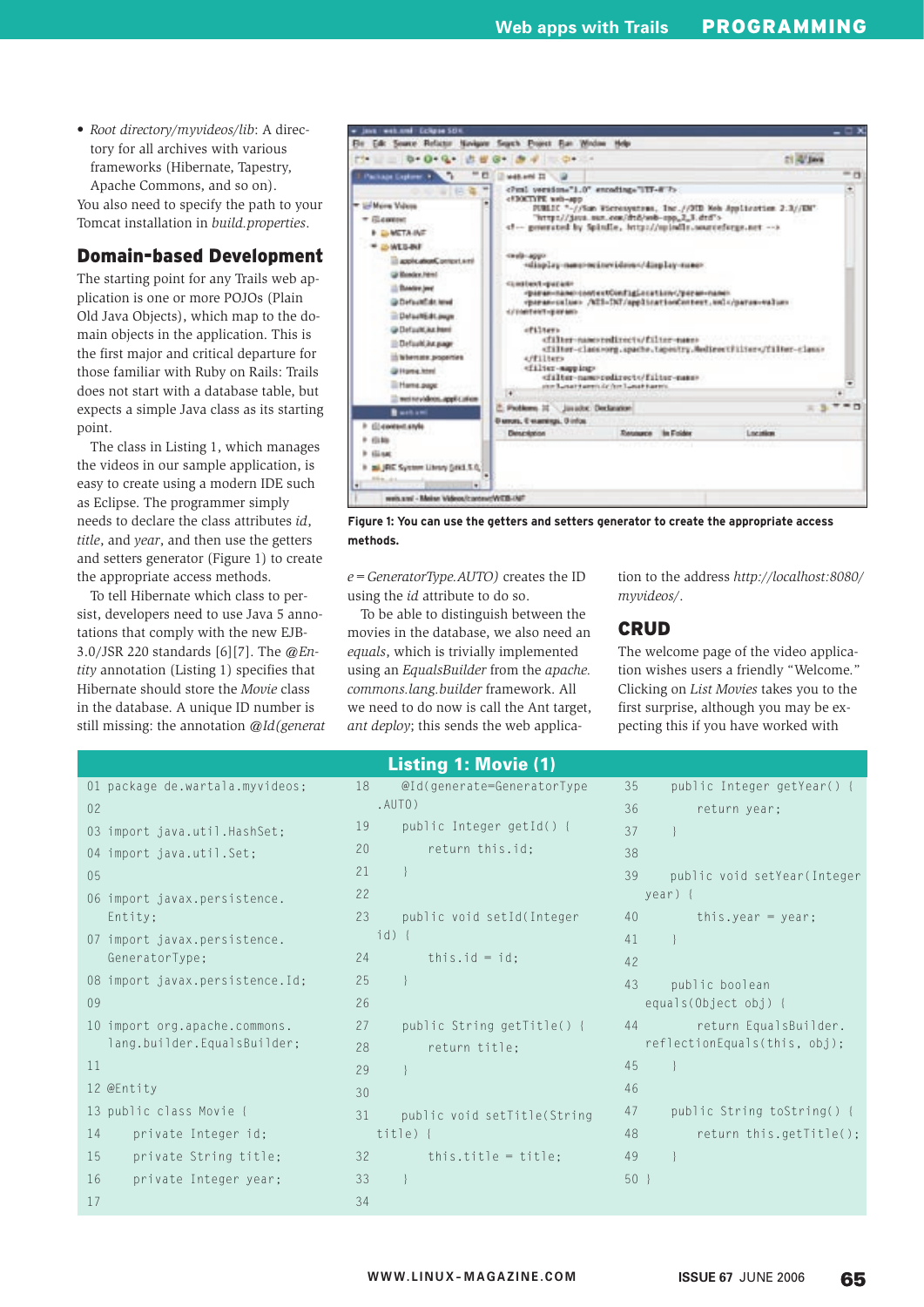• *Root directory/myvideos/lib*: A directory for all archives with various frameworks (Hibernate, Tapestry, Apache Commons, and so on).

You also need to specify the path to your Tomcat installation in *build.properties*.

### Domain-based Development

The starting point for any Trails web application is one or more POJOs (Plain Old Java Objects), which map to the domain objects in the application. This is the first major and critical departure for those familiar with Ruby on Rails: Trails does not start with a database table, but expects a simple Java class as its starting point.

The class in Listing 1, which manages the videos in our sample application, is easy to create using a modern IDE such as Eclipse. The programmer simply needs to declare the class attributes *id*, *title*, and *year*, and then use the getters and setters generator (Figure 1) to create the appropriate access methods.

To tell Hibernate which class to persist, developers need to use Java 5 annotations that comply with the new EJB-3.0/ JSR 220 standards [6][7]. The *@Entity* annotation (Listing 1) specifies that Hibernate should store the *Movie* class in the database. A unique ID number is still missing: the annotation *@Id(generat*

17



**Figure 1: You can use the getters and setters generator to create the appropriate access methods.**

*e=GeneratorType.AUTO)* creates the ID using the *id* attribute to do so.

To be able to distinguish between the movies in the database, we also need an *equals*, which is trivially implemented using an *EqualsBuilder* from the *apache. commons.lang.builder* framework. All we need to do now is call the Ant target, *ant deploy*; this sends the web applica-

Listing 1: Movie (1)

tion to the address *http://localhost:8080/ myvideos/*.

#### CRUD

The welcome page of the video application wishes users a friendly "Welcome." Clicking on *List Movies* takes you to the first surprise, although you may be expecting this if you have worked with

|    |                                 |    | <b>LISUILY I. MOVIG \I</b>  |    |                              |
|----|---------------------------------|----|-----------------------------|----|------------------------------|
|    | 01 package de.wartala.myvideos; | 18 | @Id(generate=GeneratorType  | 35 | public Integer getYear() {   |
| 02 |                                 |    | .AUTO)                      | 36 | return year;                 |
|    | 03 import java.util.HashSet;    | 19 | public Integer getId() {    | 37 |                              |
|    | 04 import java.util.Set;        | 20 | return this.id;             | 38 |                              |
| 05 |                                 | 21 |                             | 39 | public void setYear(Integer  |
|    | 06 import javax.persistence.    | 22 |                             |    | year) {                      |
|    | Entity;                         | 23 | public void setId(Integer   | 40 | this.year = year;            |
|    | 07 import javax.persistence.    |    | $id)$ {                     | 41 |                              |
|    | GeneratorType;                  | 24 | this.id = $id$ ;            | 42 |                              |
|    | 08 import javax.persistence.Id; | 25 |                             | 43 | public boolean               |
| 09 |                                 | 26 |                             |    | equals(Object obj) {         |
|    | 10 import org.apache.commons.   | 27 | public String getTitle() {  | 44 | return EqualsBuilder.        |
|    | lang.builder.EqualsBuilder;     | 28 | return title;               |    | reflectionEquals(this, obj); |
| 11 |                                 | 29 |                             | 45 |                              |
|    | 12 @Entity                      | 30 |                             | 46 |                              |
|    | 13 public class Movie {         | 31 | public void setTitle(String | 47 | public String toString() {   |
| 14 | private Integer id;             |    | title) $\{$                 | 48 | return this.getTitle();      |
| 15 | private String title;           | 32 | this.title = title;         | 49 |                              |
| 16 | private Integer year;           | 33 |                             | 50 |                              |

34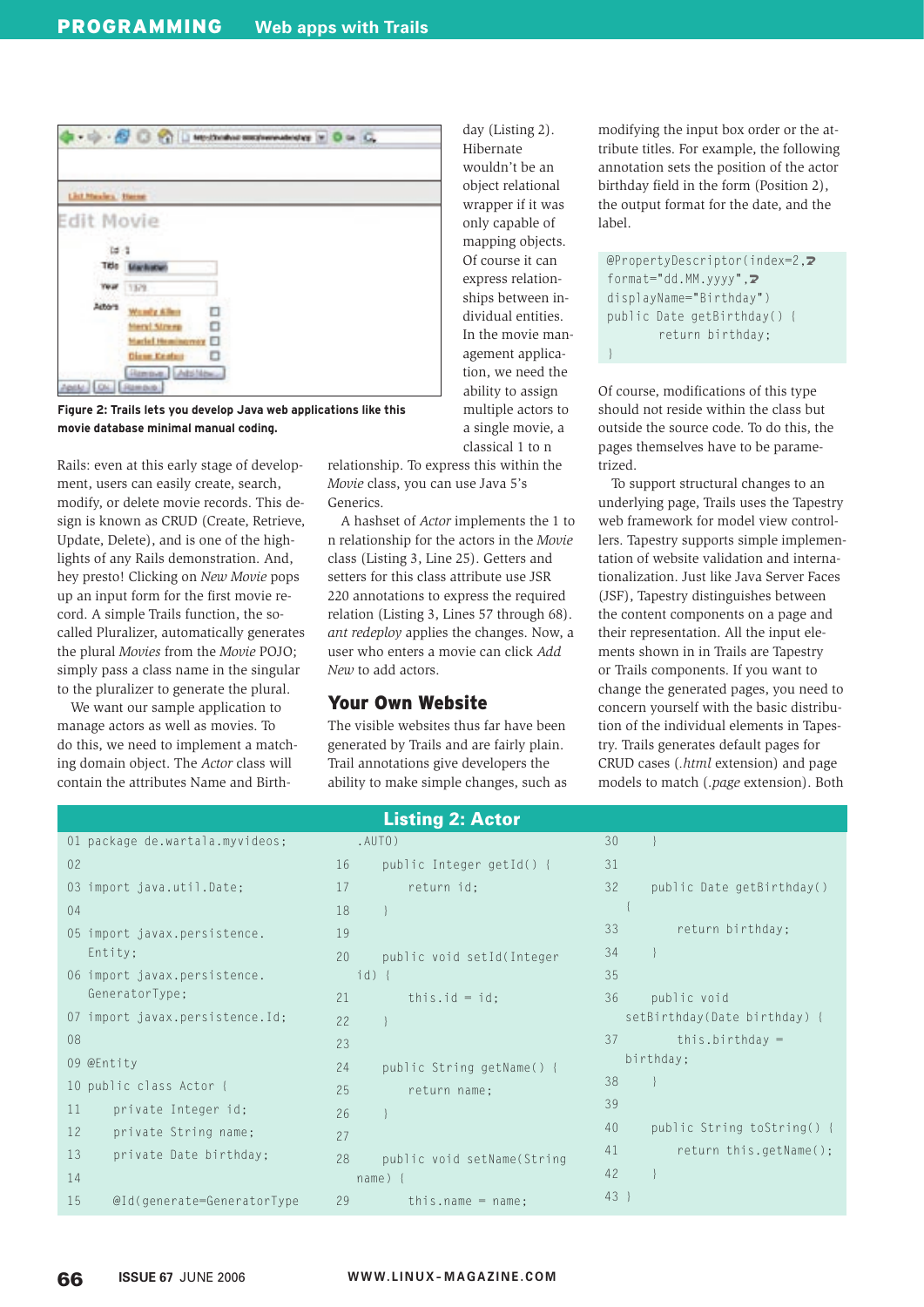

**Figure 2: Trails lets you develop Java web applications like this movie database minimal manual coding.**

Rails: even at this early stage of development, users can easily create, search, modify, or delete movie records. This design is known as CRUD (Create, Retrieve, Update, Delete), and is one of the highlights of any Rails demonstration. And, hey presto! Clicking on *New Movie* pops up an input form for the first movie record. A simple Trails function, the socalled Pluralizer, automatically generates the plural *Movies* from the *Movie* POJO; simply pass a class name in the singular to the pluralizer to generate the plural.

We want our sample application to manage actors as well as movies. To do this, we need to implement a matching domain object. The *Actor* class will contain the attributes Name and Birthday (Listing 2). Hibernate wouldn't be an object relational wrapper if it was only capable of mapping objects. Of course it can express relationships between individual entities. In the movie management application, we need the ability to assign multiple actors to a single movie, a classical 1 to n

}

relationship. To express this within the *Movie* class, you can use Java 5's Generics.

A hashset of *Actor* implements the 1 to n relationship for the actors in the *Movie* class (Listing 3, Line 25). Getters and setters for this class attribute use JSR 220 annotations to express the required relation (Listing 3, Lines 57 through 68). *ant redeploy* applies the changes. Now, a user who enters a movie can click *Add New* to add actors.

#### Your Own Website

The visible websites thus far have been generated by Trails and are fairly plain. Trail annotations give developers the ability to make simple changes, such as modifying the input box order or the attribute titles. For example, the following annotation sets the position of the actor birthday field in the form (Position 2), the output format for the date, and the label.

@PropertyDescriptor(index=2,U format="dd.MM.yyyy", $\overline{Z}$ displayName="Birthday") public Date getBirthday() { return birthday;

Of course, modifications of this type should not reside within the class but outside the source code. To do this, the pages themselves have to be parametrized.

To support structural changes to an underlying page, Trails uses the Tapestry web framework for model view controllers. Tapestry supports simple implementation of website validation and internationalization. Just like Java Server Faces (JSF), Tapestry distinguishes between the content components on a page and their representation. All the input elements shown in in Trails are Tapestry or Trails components. If you want to change the generated pages, you need to concern yourself with the basic distribution of the individual elements in Tapestry. Trails generates default pages for CRUD cases (*.html* extension) and page models to match (.*page* extension). Both

| <b>Listing 2: Actor</b>                   |                                   |                                  |  |  |  |
|-------------------------------------------|-----------------------------------|----------------------------------|--|--|--|
| 01 package de.wartala.myvideos;           | .AUTO)                            | 30                               |  |  |  |
| 02                                        | public Integer getId() {<br>16    | 31                               |  |  |  |
| 03 import java.util.Date;                 | return id:<br>17                  | 32<br>public Date getBirthday()  |  |  |  |
| 04                                        | 18                                |                                  |  |  |  |
| 05 import javax.persistence.              | 19                                | 33<br>return birthday;           |  |  |  |
| Entity;                                   | 20<br>public void setId(Integer   | 34                               |  |  |  |
| 06 import javax.persistence.              | $id)$ {                           | 35                               |  |  |  |
| GeneratorType;                            | this.id = id:<br>21               | 36<br>public void                |  |  |  |
| 07 import javax.persistence.Id;           | 22                                | setBirthday(Date birthday) {     |  |  |  |
| 08                                        | 23                                | 37<br>this.birthday $=$          |  |  |  |
| 09 @Entity                                | 24<br>public String getName() {   | birthday;                        |  |  |  |
| 10 public class Actor {                   | 25<br>return name:                | 38                               |  |  |  |
| 11<br>private Integer id;                 | 26                                | 39                               |  |  |  |
| $12 \overline{ }$<br>private String name; | 27                                | 40<br>public String toString() { |  |  |  |
| 13<br>private Date birthday;              | 28<br>public void setName (String | 41<br>return this.getName();     |  |  |  |
| 14                                        | $name)$ {                         | 42                               |  |  |  |
| 15<br>@Id(generate=GeneratorType          | 29<br>this.name = $name$ :        | 43                               |  |  |  |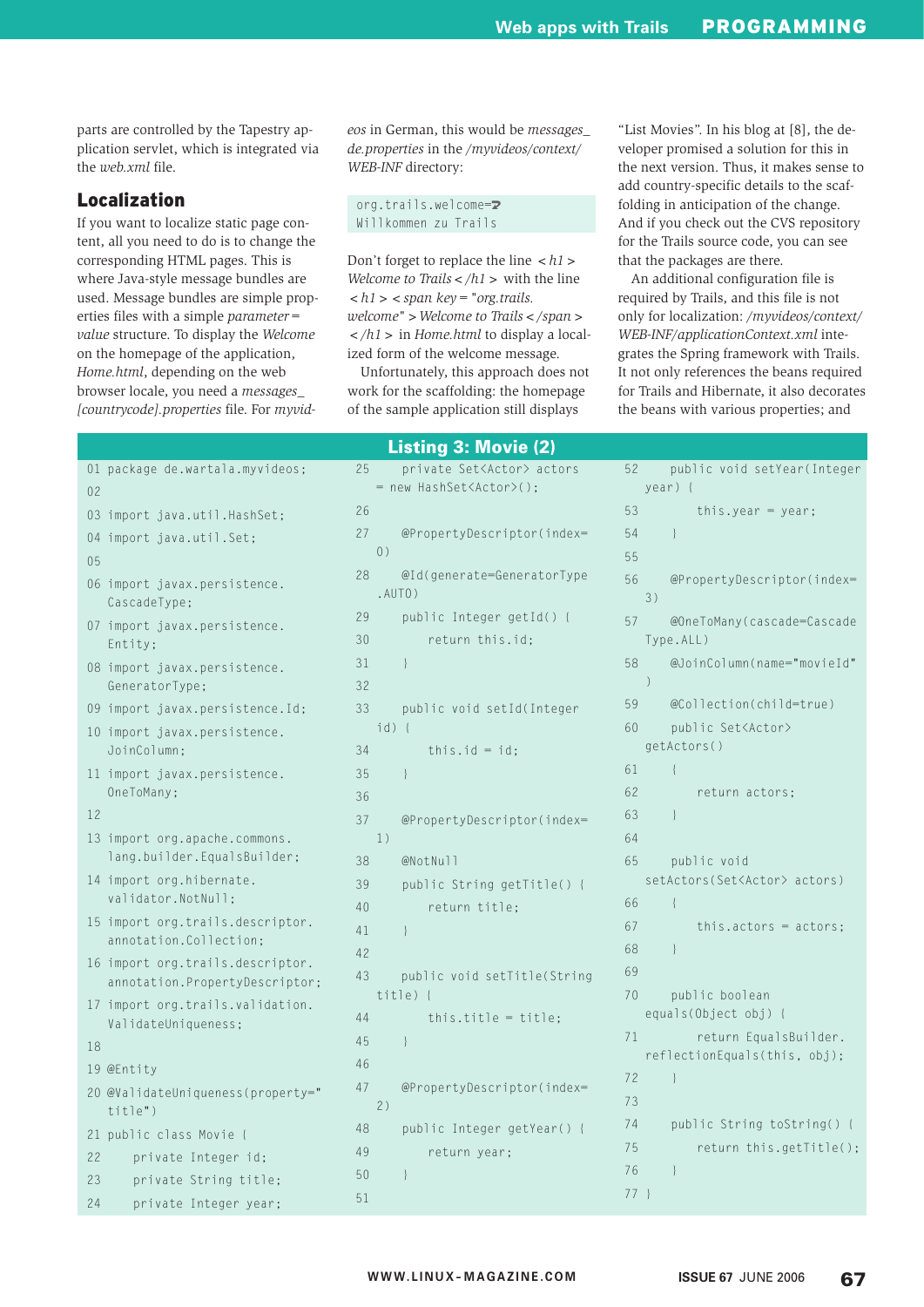parts are controlled by the Tapestry application servlet, which is integrated via the *web.xml* file.

# Localization

If you want to localize static page content, all you need to do is to change the corresponding HTML pages. This is where Java-style message bundles are used. Message bundles are simple properties files with a simple *parameter= value* structure. To display the *Welcome* on the homepage of the application, *Home.html*, depending on the web browser locale, you need a *messages\_ [countrycode].properties* file. For *myvid-* *eos* in German, this would be *messages\_ de.properties* in the */myvideos/context/ WEB-INF* directory:

org.trails.welcome=U Willkommen zu Trails

Don't forget to replace the line *<h1> Welcome to Trails</h1>* with the line  **>**  $**span key**$ **= "org.trails.** *welcome">Welcome to Trails</span> </h1>* in *Home.html* to display a localized form of the welcome message.

Unfortunately, this approach does not work for the scaffolding: the homepage of the sample application still displays

Listing 3: Movie (2)

"List Movies". In his blog at [8], the developer promised a solution for this in the next version. Thus, it makes sense to add country-specific details to the scaffolding in anticipation of the change. And if you check out the CVS repository for the Trails source code, you can see that the packages are there.

An additional configuration file is required by Trails, and this file is not only for localization: */myvideos/context/ WEB-INF/applicationContext.xml* integrates the Spring framework with Trails. It not only references the beans required for Trails and Hibernate, it also decorates the beans with various properties; and

| 01             | package de.wartala.myvideos;                                     |
|----------------|------------------------------------------------------------------|
| 0 <sub>2</sub> |                                                                  |
| 03             | import java.util.HashSet;                                        |
| 04             | import java.util.Set;                                            |
| 05             |                                                                  |
| 06             | import javax.persistence.<br>CascadeType;                        |
| 07             | import javax.persistence.<br>Entity;                             |
| 08             | import javax.persistence.<br>GeneratorType;                      |
| 09             | import javax.persistence.Id;                                     |
| 10             | import javax.persistence.<br>JoinColumn;                         |
| 11             | import javax.persistence.<br>OneToMany;                          |
| 12             |                                                                  |
| 13             | import org.apache.commons.                                       |
|                | lang.builder.EqualsBuilder;                                      |
| 14             | import org.hibernate.<br>validator.NotNull;                      |
| 15             | import org.trails.descriptor.<br>annotation.Collection;          |
| 16             | import org.trails.descriptor.<br>annotation. PropertyDescriptor; |
| 17             | import org.trails.validation.<br>ValidateUniqueness;             |
| 18             |                                                                  |
| 19             | @Entity                                                          |
| 20             | @ValidateUniqueness(property="<br>title")                        |
| 21             | public class Movie {                                             |
| 22             | private Integer id;                                              |

23 private String title; 24 private Integer year;

| 25 | private Set <actor> actors</actor> |
|----|------------------------------------|
|    | new HashSet <actor>();</actor>     |
| 26 |                                    |
| 27 | @PropertyDescriptor(index=         |
|    | ( )                                |
| 28 | @Id(generate=GeneratorType         |
|    | .AUTO)                             |
| 29 | public Integer getId() {           |
| 30 | return this.id;                    |
| 31 | $\left\{ \right\}$                 |
| 32 |                                    |
| 33 | public void setId(Integer          |
|    | $id)$ {                            |
| 34 | this.id = $id$ ;                   |
| 35 | $\left\{ \right\}$                 |
| 36 |                                    |
| 37 | @PropertyDescriptor(index=         |
|    | 1)                                 |
| 38 | @NotNull                           |
| 39 | public String getTitle() {         |
| 40 | return title;                      |
| 41 | $\mathcal{E}$                      |
| 42 |                                    |
| 43 | public void setTitle(String        |
|    | $title)$ {                         |
| 44 | this.title = title;                |
| 45 | $\left\{ \right\}$                 |
| 46 |                                    |
| 47 | @PropertyDescriptor(index=         |
|    | 2)                                 |
| 48 | public Integer getYear() {         |
| 49 | return year;                       |
| 50 | $\{$                               |
| 51 |                                    |

| 52 | public void setYear(Integer             |
|----|-----------------------------------------|
|    | year) {                                 |
| 53 | this.year = year;                       |
| 54 | $\mathcal{L}$                           |
| 55 |                                         |
| 56 | @PropertyDescriptor(index=              |
|    | 3)                                      |
| 57 | @OneToMany(cascade=Cascade<br>Type.ALL) |
| 58 | @JoinColumn(name="movieId"              |
|    | $\mathcal{)}$                           |
| 59 | @Collection(child=true)                 |
| 60 | public Set <actor></actor>              |
|    | getActors()                             |
| 61 | $\{$                                    |
| 62 | return actors;                          |
| 63 | $\left\{ \right\}$                      |
| 64 |                                         |
| 65 | public void                             |
|    | setActors(Set <actor> actors)</actor>   |
| 66 | ł                                       |
| 67 | this.actors = $actors;$                 |
| 68 | $\left\{ \right\}$                      |
| 69 |                                         |
| 70 | public boolean                          |
|    | equals(Object obj) {                    |
| 71 | return EqualsBuilder.                   |
|    | reflectionEquals(this, obj);            |
| 72 | $\{$                                    |
| 73 |                                         |
| 74 | public String toString() {              |
| 75 | return this.getTitle();                 |
| 76 | $\left\{ \right\}$                      |
| 77 | - }                                     |